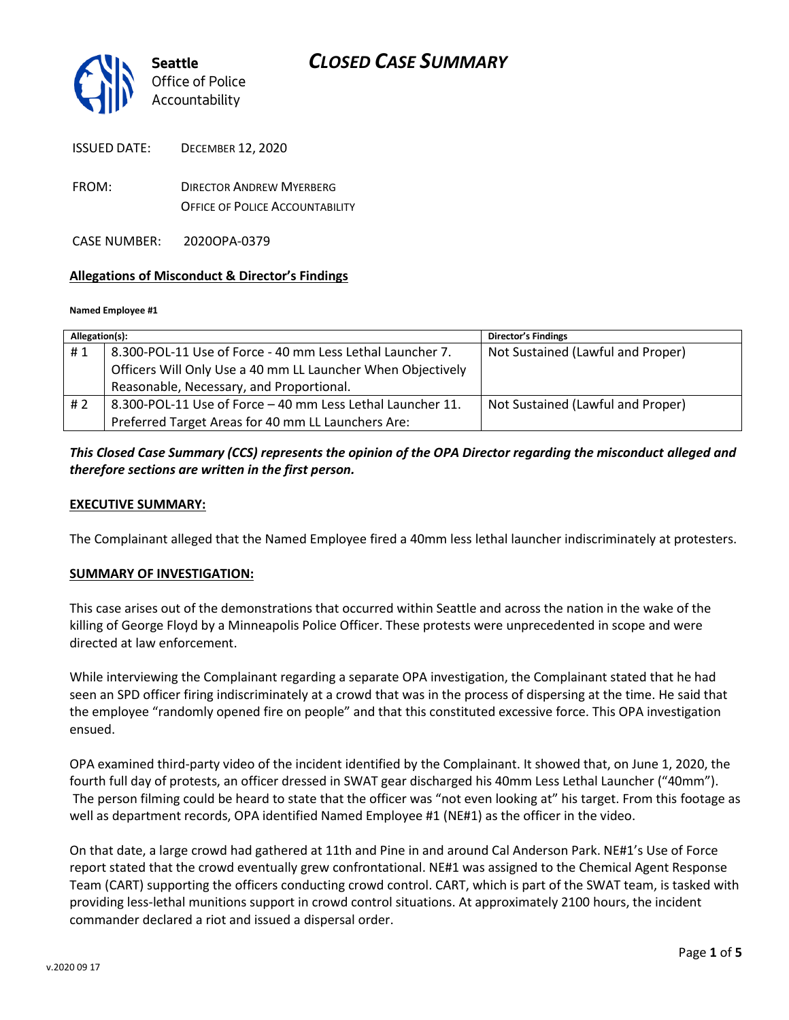

FROM: DIRECTOR ANDREW MYERBERG OFFICE OF POLICE ACCOUNTABILITY

CASE NUMBER: 2020OPA-0379

#### **Allegations of Misconduct & Director's Findings**

#### **Named Employee #1**

| Allegation(s): |                                                             | <b>Director's Findings</b>        |
|----------------|-------------------------------------------------------------|-----------------------------------|
| #1             | 8.300-POL-11 Use of Force - 40 mm Less Lethal Launcher 7.   | Not Sustained (Lawful and Proper) |
|                | Officers Will Only Use a 40 mm LL Launcher When Objectively |                                   |
|                | Reasonable, Necessary, and Proportional.                    |                                   |
| # 2            | 8.300-POL-11 Use of Force - 40 mm Less Lethal Launcher 11.  | Not Sustained (Lawful and Proper) |
|                | Preferred Target Areas for 40 mm LL Launchers Are:          |                                   |

#### *This Closed Case Summary (CCS) represents the opinion of the OPA Director regarding the misconduct alleged and therefore sections are written in the first person.*

#### **EXECUTIVE SUMMARY:**

The Complainant alleged that the Named Employee fired a 40mm less lethal launcher indiscriminately at protesters.

#### **SUMMARY OF INVESTIGATION:**

This case arises out of the demonstrations that occurred within Seattle and across the nation in the wake of the killing of George Floyd by a Minneapolis Police Officer. These protests were unprecedented in scope and were directed at law enforcement.

While interviewing the Complainant regarding a separate OPA investigation, the Complainant stated that he had seen an SPD officer firing indiscriminately at a crowd that was in the process of dispersing at the time. He said that the employee "randomly opened fire on people" and that this constituted excessive force. This OPA investigation ensued.

OPA examined third-party video of the incident identified by the Complainant. It showed that, on June 1, 2020, the fourth full day of protests, an officer dressed in SWAT gear discharged his 40mm Less Lethal Launcher ("40mm"). The person filming could be heard to state that the officer was "not even looking at" his target. From this footage as well as department records, OPA identified Named Employee #1 (NE#1) as the officer in the video.

On that date, a large crowd had gathered at 11th and Pine in and around Cal Anderson Park. NE#1's Use of Force report stated that the crowd eventually grew confrontational. NE#1 was assigned to the Chemical Agent Response Team (CART) supporting the officers conducting crowd control. CART, which is part of the SWAT team, is tasked with providing less-lethal munitions support in crowd control situations. At approximately 2100 hours, the incident commander declared a riot and issued a dispersal order.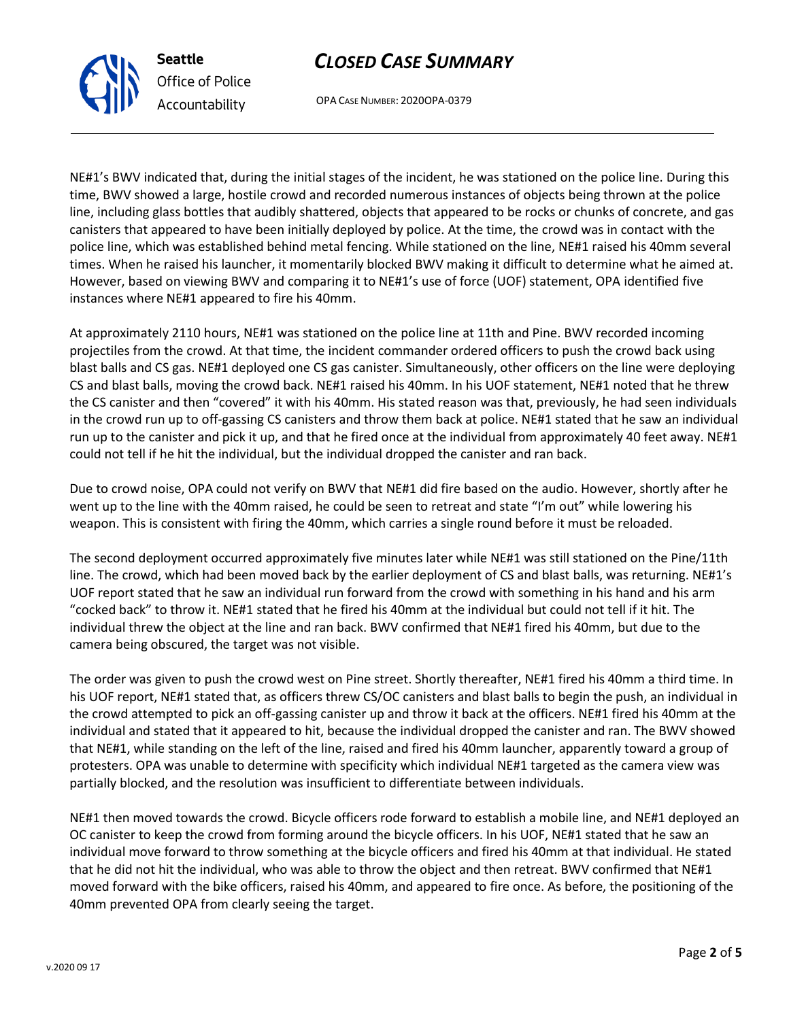# *CLOSED CASE SUMMARY*



OPA CASE NUMBER: 2020OPA-0379

NE#1's BWV indicated that, during the initial stages of the incident, he was stationed on the police line. During this time, BWV showed a large, hostile crowd and recorded numerous instances of objects being thrown at the police line, including glass bottles that audibly shattered, objects that appeared to be rocks or chunks of concrete, and gas canisters that appeared to have been initially deployed by police. At the time, the crowd was in contact with the police line, which was established behind metal fencing. While stationed on the line, NE#1 raised his 40mm several times. When he raised his launcher, it momentarily blocked BWV making it difficult to determine what he aimed at. However, based on viewing BWV and comparing it to NE#1's use of force (UOF) statement, OPA identified five instances where NE#1 appeared to fire his 40mm.

At approximately 2110 hours, NE#1 was stationed on the police line at 11th and Pine. BWV recorded incoming projectiles from the crowd. At that time, the incident commander ordered officers to push the crowd back using blast balls and CS gas. NE#1 deployed one CS gas canister. Simultaneously, other officers on the line were deploying CS and blast balls, moving the crowd back. NE#1 raised his 40mm. In his UOF statement, NE#1 noted that he threw the CS canister and then "covered" it with his 40mm. His stated reason was that, previously, he had seen individuals in the crowd run up to off-gassing CS canisters and throw them back at police. NE#1 stated that he saw an individual run up to the canister and pick it up, and that he fired once at the individual from approximately 40 feet away. NE#1 could not tell if he hit the individual, but the individual dropped the canister and ran back.

Due to crowd noise, OPA could not verify on BWV that NE#1 did fire based on the audio. However, shortly after he went up to the line with the 40mm raised, he could be seen to retreat and state "I'm out" while lowering his weapon. This is consistent with firing the 40mm, which carries a single round before it must be reloaded.

The second deployment occurred approximately five minutes later while NE#1 was still stationed on the Pine/11th line. The crowd, which had been moved back by the earlier deployment of CS and blast balls, was returning. NE#1's UOF report stated that he saw an individual run forward from the crowd with something in his hand and his arm "cocked back" to throw it. NE#1 stated that he fired his 40mm at the individual but could not tell if it hit. The individual threw the object at the line and ran back. BWV confirmed that NE#1 fired his 40mm, but due to the camera being obscured, the target was not visible.

The order was given to push the crowd west on Pine street. Shortly thereafter, NE#1 fired his 40mm a third time. In his UOF report, NE#1 stated that, as officers threw CS/OC canisters and blast balls to begin the push, an individual in the crowd attempted to pick an off-gassing canister up and throw it back at the officers. NE#1 fired his 40mm at the individual and stated that it appeared to hit, because the individual dropped the canister and ran. The BWV showed that NE#1, while standing on the left of the line, raised and fired his 40mm launcher, apparently toward a group of protesters. OPA was unable to determine with specificity which individual NE#1 targeted as the camera view was partially blocked, and the resolution was insufficient to differentiate between individuals.

NE#1 then moved towards the crowd. Bicycle officers rode forward to establish a mobile line, and NE#1 deployed an OC canister to keep the crowd from forming around the bicycle officers. In his UOF, NE#1 stated that he saw an individual move forward to throw something at the bicycle officers and fired his 40mm at that individual. He stated that he did not hit the individual, who was able to throw the object and then retreat. BWV confirmed that NE#1 moved forward with the bike officers, raised his 40mm, and appeared to fire once. As before, the positioning of the 40mm prevented OPA from clearly seeing the target.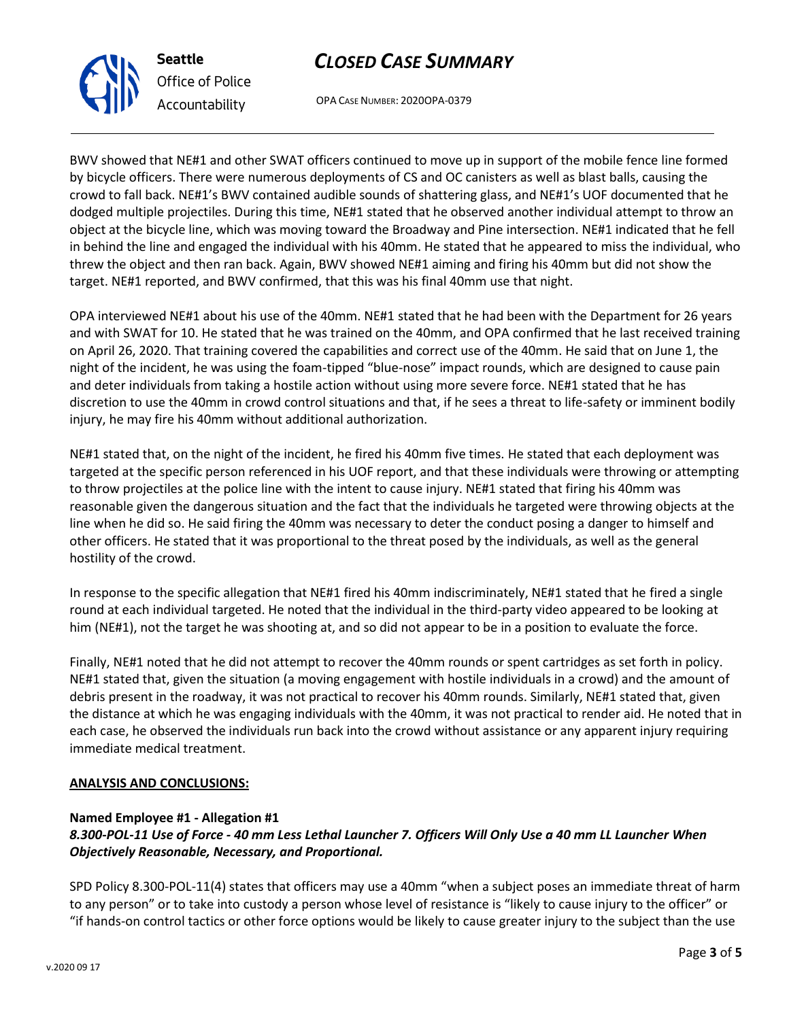## *CLOSED CASE SUMMARY*

OPA CASE NUMBER: 2020OPA-0379

BWV showed that NE#1 and other SWAT officers continued to move up in support of the mobile fence line formed by bicycle officers. There were numerous deployments of CS and OC canisters as well as blast balls, causing the crowd to fall back. NE#1's BWV contained audible sounds of shattering glass, and NE#1's UOF documented that he dodged multiple projectiles. During this time, NE#1 stated that he observed another individual attempt to throw an object at the bicycle line, which was moving toward the Broadway and Pine intersection. NE#1 indicated that he fell in behind the line and engaged the individual with his 40mm. He stated that he appeared to miss the individual, who threw the object and then ran back. Again, BWV showed NE#1 aiming and firing his 40mm but did not show the target. NE#1 reported, and BWV confirmed, that this was his final 40mm use that night.

OPA interviewed NE#1 about his use of the 40mm. NE#1 stated that he had been with the Department for 26 years and with SWAT for 10. He stated that he was trained on the 40mm, and OPA confirmed that he last received training on April 26, 2020. That training covered the capabilities and correct use of the 40mm. He said that on June 1, the night of the incident, he was using the foam-tipped "blue-nose" impact rounds, which are designed to cause pain and deter individuals from taking a hostile action without using more severe force. NE#1 stated that he has discretion to use the 40mm in crowd control situations and that, if he sees a threat to life-safety or imminent bodily injury, he may fire his 40mm without additional authorization.

NE#1 stated that, on the night of the incident, he fired his 40mm five times. He stated that each deployment was targeted at the specific person referenced in his UOF report, and that these individuals were throwing or attempting to throw projectiles at the police line with the intent to cause injury. NE#1 stated that firing his 40mm was reasonable given the dangerous situation and the fact that the individuals he targeted were throwing objects at the line when he did so. He said firing the 40mm was necessary to deter the conduct posing a danger to himself and other officers. He stated that it was proportional to the threat posed by the individuals, as well as the general hostility of the crowd.

In response to the specific allegation that NE#1 fired his 40mm indiscriminately, NE#1 stated that he fired a single round at each individual targeted. He noted that the individual in the third-party video appeared to be looking at him (NE#1), not the target he was shooting at, and so did not appear to be in a position to evaluate the force.

Finally, NE#1 noted that he did not attempt to recover the 40mm rounds or spent cartridges as set forth in policy. NE#1 stated that, given the situation (a moving engagement with hostile individuals in a crowd) and the amount of debris present in the roadway, it was not practical to recover his 40mm rounds. Similarly, NE#1 stated that, given the distance at which he was engaging individuals with the 40mm, it was not practical to render aid. He noted that in each case, he observed the individuals run back into the crowd without assistance or any apparent injury requiring immediate medical treatment.

### **ANALYSIS AND CONCLUSIONS:**

### **Named Employee #1 - Allegation #1**

### *8.300-POL-11 Use of Force - 40 mm Less Lethal Launcher 7. Officers Will Only Use a 40 mm LL Launcher When Objectively Reasonable, Necessary, and Proportional.*

SPD Policy 8.300-POL-11(4) states that officers may use a 40mm "when a subject poses an immediate threat of harm to any person" or to take into custody a person whose level of resistance is "likely to cause injury to the officer" or "if hands-on control tactics or other force options would be likely to cause greater injury to the subject than the use



**Seattle**

*Office of Police Accountability*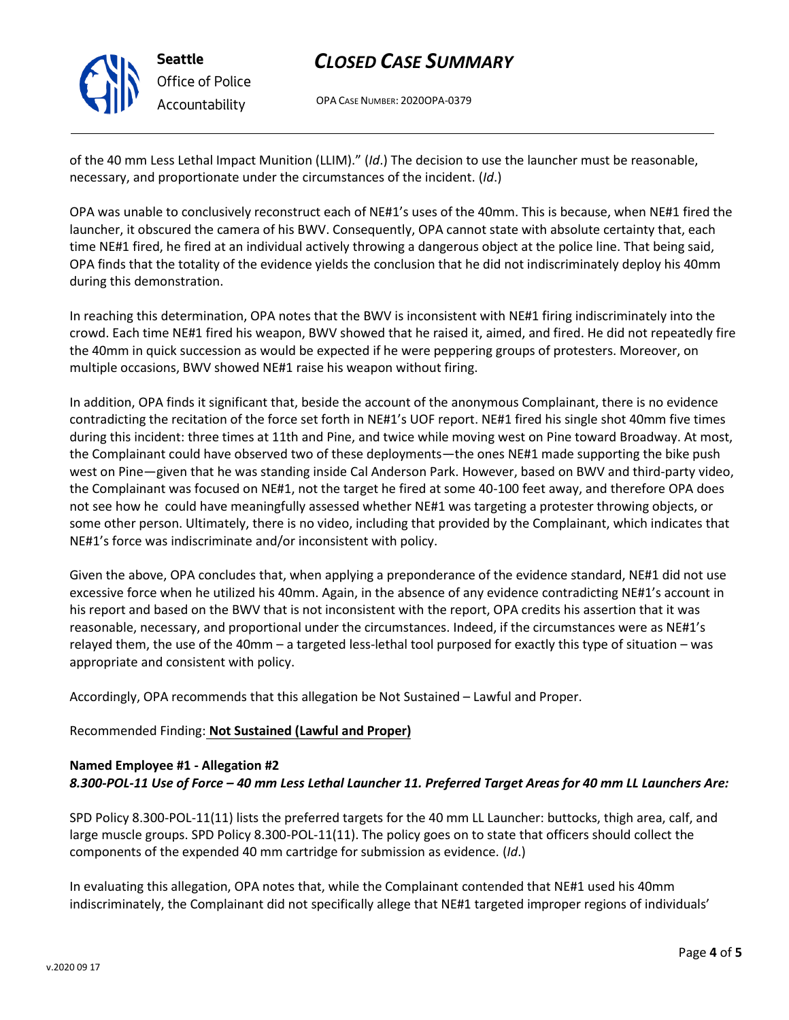v.2020 09 17

## *CLOSED CASE SUMMARY*

OPA CASE NUMBER: 2020OPA-0379

of the 40 mm Less Lethal Impact Munition (LLIM)." (*Id*.) The decision to use the launcher must be reasonable, necessary, and proportionate under the circumstances of the incident. (*Id*.)

OPA was unable to conclusively reconstruct each of NE#1's uses of the 40mm. This is because, when NE#1 fired the launcher, it obscured the camera of his BWV. Consequently, OPA cannot state with absolute certainty that, each time NE#1 fired, he fired at an individual actively throwing a dangerous object at the police line. That being said, OPA finds that the totality of the evidence yields the conclusion that he did not indiscriminately deploy his 40mm during this demonstration.

In reaching this determination, OPA notes that the BWV is inconsistent with NE#1 firing indiscriminately into the crowd. Each time NE#1 fired his weapon, BWV showed that he raised it, aimed, and fired. He did not repeatedly fire the 40mm in quick succession as would be expected if he were peppering groups of protesters. Moreover, on multiple occasions, BWV showed NE#1 raise his weapon without firing.

In addition, OPA finds it significant that, beside the account of the anonymous Complainant, there is no evidence contradicting the recitation of the force set forth in NE#1's UOF report. NE#1 fired his single shot 40mm five times during this incident: three times at 11th and Pine, and twice while moving west on Pine toward Broadway. At most, the Complainant could have observed two of these deployments—the ones NE#1 made supporting the bike push west on Pine—given that he was standing inside Cal Anderson Park. However, based on BWV and third-party video, the Complainant was focused on NE#1, not the target he fired at some 40-100 feet away, and therefore OPA does not see how he could have meaningfully assessed whether NE#1 was targeting a protester throwing objects, or some other person. Ultimately, there is no video, including that provided by the Complainant, which indicates that NE#1's force was indiscriminate and/or inconsistent with policy.

Given the above, OPA concludes that, when applying a preponderance of the evidence standard, NE#1 did not use excessive force when he utilized his 40mm. Again, in the absence of any evidence contradicting NE#1's account in his report and based on the BWV that is not inconsistent with the report, OPA credits his assertion that it was reasonable, necessary, and proportional under the circumstances. Indeed, if the circumstances were as NE#1's relayed them, the use of the 40mm – a targeted less-lethal tool purposed for exactly this type of situation – was appropriate and consistent with policy.

Accordingly, OPA recommends that this allegation be Not Sustained – Lawful and Proper.

### Recommended Finding: **Not Sustained (Lawful and Proper)**

### **Named Employee #1 - Allegation #2** *8.300-POL-11 Use of Force – 40 mm Less Lethal Launcher 11. Preferred Target Areas for 40 mm LL Launchers Are:*

SPD Policy 8.300-POL-11(11) lists the preferred targets for the 40 mm LL Launcher: buttocks, thigh area, calf, and large muscle groups. SPD Policy 8.300-POL-11(11). The policy goes on to state that officers should collect the components of the expended 40 mm cartridge for submission as evidence. (*Id*.)

In evaluating this allegation, OPA notes that, while the Complainant contended that NE#1 used his 40mm indiscriminately, the Complainant did not specifically allege that NE#1 targeted improper regions of individuals'